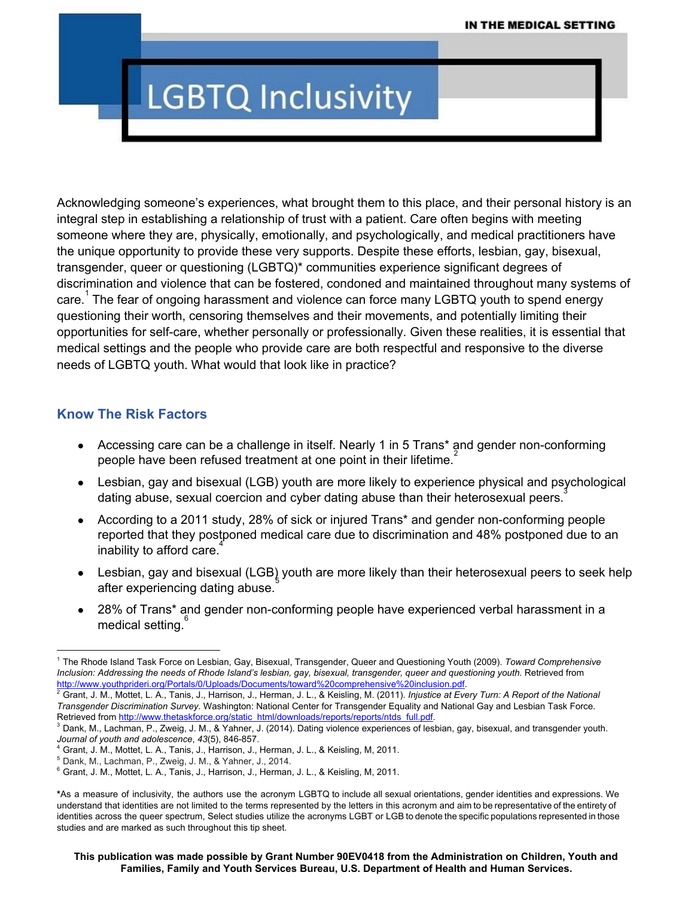# **LGBTQ Inclusivity**

Acknowledging someone's experiences, what brought them to this place, and their personal history is an integral step in establishing a relationship of trust with a patient. Care often begins with meeting someone where they are, physically, emotionally, and psychologically, and medical practitioners have the unique opportunity to provide these very supports. Despite these efforts, lesbian, gay, bisexual, transgender, queer or questioning (LGBTQ)\* communities experience significant degrees of discrimination and violence that can be fostered, condoned and maintained throughout many systems of care.<sup>1</sup> The fear of ongoing harassment and violence can force many LGBTQ youth to spend energy questioning their worth, censoring themselves and their movements, and potentially limiting their opportunities for self-care, whether personally or professionally. Given these realities, it is essential that medical settings and the people who provide care are both respectful and responsive to the diverse needs of LGBTQ youth. What would that look like in practice?

#### **Know The Risk Factors**

- Accessing care can be a challenge in itself. Nearly 1 in 5 Trans\* and gender non-conforming people have been refused treatment at one point in their lifetime. $2$
- Lesbian, gay and bisexual (LGB) youth are more likely to experience physical and psychological dating abuse, sexual coercion and cyber dating abuse than their heterosexual peers. 3
- According to a 2011 study, 28% of sick or injured Trans\* and gender non-conforming people reported that they postponed medical care due to discrimination and 48% postponed due to an inability to afford care. 4
- Lesbian, gay and bisexual (LGB) youth are more likely than their heterosexual peers to seek help after experiencing dating abuse.
- 28% of Trans\* and gender non-conforming people have experienced verbal harassment in a medical setting.<sup>6</sup>

<sup>1</sup> The Rhode Island Task Force on Lesbian, Gay, Bisexual, Transgender, Queer and Questioning Youth (2009). *Toward Comprehensive* Inclusion: Addressing the needs of Rhode Island's lesbian, gay, bisexual, transgender, queer and questioning youth. Retrieved from <http://www.youthprideri.org/Portals/0/Uploads/Documents/toward%20comprehensive%20inclusion.pdf>.

<sup>2</sup> Grant, J. M., Mottet, L. A., Tanis, J., Harrison, J., Herman, J. L., & Keisling, M. (2011). *Injustice at Every Turn: A Report of the National Transgender Discrimination Survey.* Washington: National Center for Transgender Equality and National Gay and Lesbian Task Force. Retrieved from [http://www.thetaskforce.org/static\\_html/downloads/reports/reports/ntds\\_full.pdf.](http://www.thetaskforce.org/static_html/downloads/reports/reports/ntds_full.pdf)

<sup>&</sup>lt;sup>3</sup> Dank, M., Lachman, P., Zweig, J. M., & Yahner, J. (2014). Dating violence experiences of lesbian, gay, bisexual, and transgender youth. *Journal of youth and adolescence, 43(5), 846-857.* 

<sup>4</sup> Grant, J. M., Mottet, L. A., Tanis, J., Harrison, J., Herman, J. L., & Keisling, M, 2011.

<sup>5</sup> Dank, M., Lachman, P., Zweig, J. M., & Yahner, J., 2014.

<sup>6</sup> Grant, J. M., Mottet, L. A., Tanis, J., Harrison, J., Herman, J. L., & Keisling, M, 2011.

**<sup>\*</sup>**As a measure of inclusivity, the authors use the acronym LGBTQ to include all sexual orientations, gender identities and expressions. We understand that identities are not limited to the terms represented by the letters in this acronym and aim to be representative of the entirety of identities across the queer spectrum, Select studies utilize the acronyms LGBT or LGB to denote the specific populations represented in those studies and are marked as such throughout this tip sheet.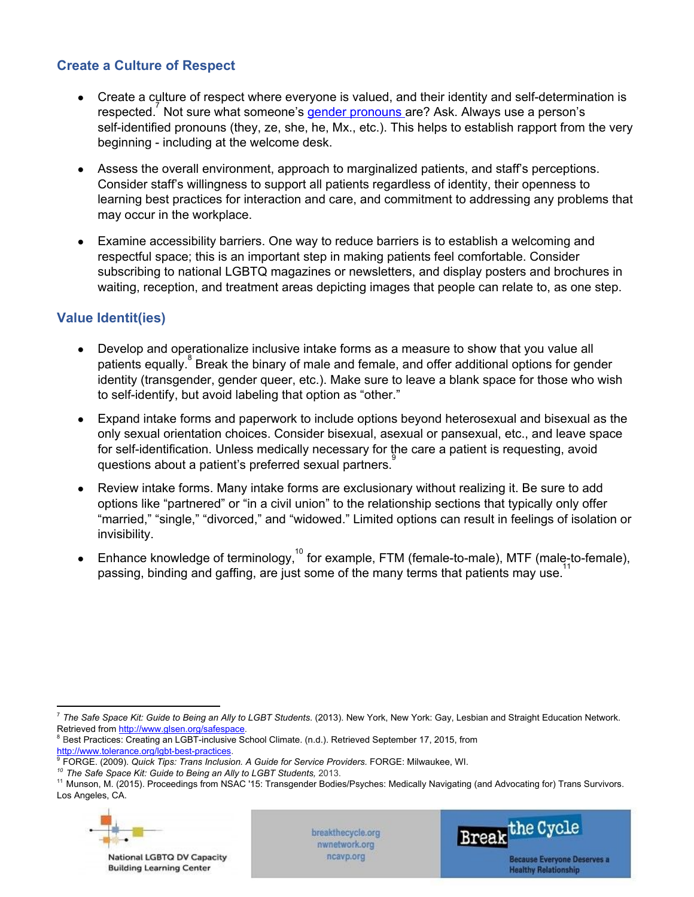### **Create a Culture of Respect**

- Create a culture of respect where everyone is valued, and their identity and self-determination is respected.<sup>7</sup> Not sure what someone's gender pronouns are? Ask. Always use a person's self-identified pronouns (they, ze, she, he, Mx., etc.). This helps to establish rapport from the very beginning - including at the welcome desk.
- Assess the overall environment, approach to marginalized patients, and staff's perceptions. Consider staff's willingness to support all patients regardless of identity, their openness to learning best practices for interaction and care, and commitment to addressing any problems that may occur in the workplace.
- Examine accessibility barriers. One way to reduce barriers is to establish a welcoming and respectful space; this is an important step in making patients feel comfortable. Consider subscribing to national LGBTQ magazines or newsletters, and display posters and brochures in waiting, reception, and treatment areas depicting images that people can relate to, as one step.

### **Value Identit(ies)**

- Develop and operationalize inclusive intake forms as a measure to show that you value all patients equally.  $8$  Break the binary of male and female, and offer additional options for gender identity (transgender, gender queer, etc.). Make sure to leave a blank space for those who wish to self-identify, but avoid labeling that option as "other."
- Expand intake forms and paperwork to include options beyond heterosexual and bisexual as the only sexual orientation choices. Consider bisexual, asexual or pansexual, etc., and leave space for self-identification. Unless medically necessary for the care a patient is requesting, avoid questions about a patient's preferred sexual partners.<sup>9</sup>
- Review intake forms. Many intake forms are exclusionary without realizing it. Be sure to add options like "partnered" or "in a civil union" to the relationship sections that typically only offer "married," "single," "divorced," and "widowed." Limited options can result in feelings of isolation or invisibility.
- **•** Enhance knowledge of terminology,<sup>10</sup> for example, FTM (female-to-male), MTF (male-to-female), passing, binding and gaffing, are just some of the many terms that patients may use.<sup>11</sup>

<sup>11</sup> Munson, M. (2015). Proceedings from NSAC '15: Transgender Bodies/Psyches: Medically Navigating (and Advocating for) Trans Survivors. Los Angeles, CA.



National LGBTQ DV Capacity **Building Learning Center** 

breakthecycle.org nwnetwork.org ncavp.org



<sup>7</sup> *The Safe Space Kit: Guide to Being an Ally to LGBT Students*. (2013). New York, New York: Gay, Lesbian and Straight Education Network. Retrieved from http://www.glsen.org/safespace

<sup>&</sup>lt;sup>8</sup> Best Practices: Creating an LGBT-inclusive School Climate. (n.d.). Retrieved September 17, 2015, from

http://www.tolerance.org/lgbt-best-practices.

<sup>9</sup> FORGE. (2009). *Quick Tips: Trans Inclusion. A Guide for Service Providers.* FORGE: Milwaukee, WI.

*<sup>10</sup> The Safe Space Kit: Guide to Being an Ally to LGBT Students,* 2013.